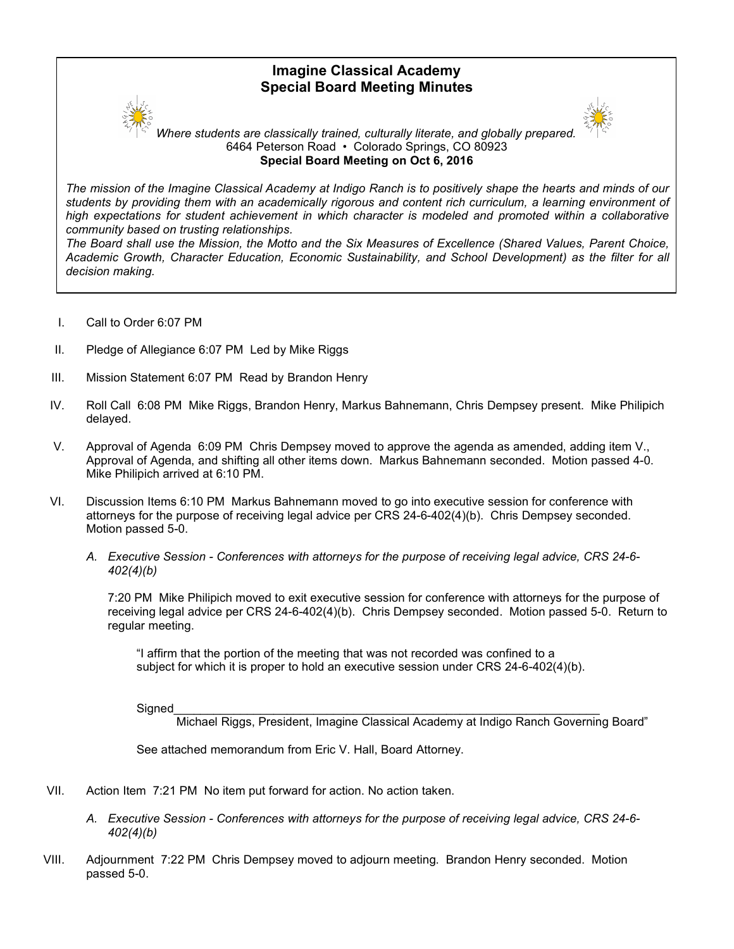

**Imagine Classical Academy<br>pecial Board Meeting Minutes<br>assically trained, culturally literate, and globally prepared. Imagine Classical Academy<br>Special Board Meeting Minutes<br>Classically trained, culturally literate, and globally prepared.<br>Peterson Road • Colorado Springs, CO 80923<br>Special Board Meeting on Oct 6, 2016** Imagine Classical Academy<br>
Special Board Meeting Minutes<br>
Where students are classically trained, culturally literate, and globally prepared.<br>
6464 Peterson Road • Colorado Springs, CO 80923<br>
Special Board Meeting on Oct 6

Imagine Classical Academy<br>
Special Board Meeting Minutes<br>
Where students are classically trained, culturally literate, and globally prepared.<br>
The mission of the Imagine Classical Academy at Indigo Ranch is to positively s oven "Special Board Meeting on Octis, 2016<br>
Approvaling them with an academically rigonous and content is to positively shape the hearts and minds of our<br>
enter the expectations for student achievement in which character i mission of the Imagine Classical Acedemy at the denty on Oct 6, 2016<br>
Mentents by providing them with an academically rigorous and content rich curriculum, a learning environn<br>
tents by providing them with an academically The mission Israelian to the unitary and the mission Internal Archives Save the relation and the mission Internal Archives Community based on tursting relationships.<br>
The Board Share of student achievement in which charact Imagine Classical Academy<br>
Special Board Meeting Minutes<br>
this are classically trained, culturally literate, and globally prepared.<br>
6464 Peterson Road • Colorado Springs, CO 80923<br>
Special Board Meeting on Oct 6, 2016<br>
as Imagine Classical Academy<br>
Special Board Meeting Minutes<br>
classically trained, culturally literate, and globally prepared.<br>
Seterson Road • Colorado Springs, CO 80923<br>
Special Board Meeting on Oct 6, 2016<br>
I Academy at Ind The mission of the mission of the mission of the mission of the mission of the mission of the magine Classically trained, culturally literate, and globally prepared.<br>
The mission of the Imagine Classical Academy at Indigo **Students by providing them with an academically trained, culturally literate, and globally prepared.**<br>
Where students are classically trained, culturally literate, and globally prepared.<br>
Students by providing them with a **high expectations for students are classical Academy**<br>
Special Board Meeting Minutes<br>
Where students are classically trained, culturally literate, and globally prepared.<br>
The mission of the Imagine Classical Academy at In **Community based on the trusting relationships.**<br> **Community of the Special Board Meeting Minutes**<br>
Where students are classically trained, culturally literate, and globally prepared.<br>
The mission of the Imagine Classical **The Board shall use the Mission, the Motor Special Board Meeting Minutes**<br>
Where students are classically trained, culturally literate, and globally prepared.<br>
Shall use the Motto and the Motto and the Motto and the Six M Many Special Board Meeting Minutes<br>
According Minutes<br>
According Minutes<br>
The mission of the Imagine Classically trained, culturally literate, and globally prepared.<br>
The mission of the Imagine Classical Academy at Indigo **Example 19 Special Board Meeting Minutes**<br> **Special Board Meeting Minutes**<br>
Special Board Meeting Minutes<br>
Where students are classically trained, culturally literate, and globs<br>
6464 Peterson Road Colorado Springs, CO 80

First by providing rurrin wir an acostrometric in which character is modeled and promoted within a collaborative<br>internality based on trusting relationships.<br>However Board shall use the Mission, the Motto and the Six Measu is expectations for student actinevement in which character is modeled and promoted with<br>munitify based on trusting relationships.<br>Board shall use the Mission, the Motto and the Six Measures of Excellence (Shared Va<br>ision

- I. Call to Order 6:07 PM
- 
- III. Mission Statement 6:07 PM Read by Brandon Henry
- IV. Roll Call 6:08 PM Mike Riggs, Brandon Henry, Markus Bahnemann, Chris Dempsey present. Mike Philipich delayed.
- V. Approval of Agenda 6:09 PM Chris Dempsey moved to approve the agenda as amended, adding item V., to Order 6:07 PM<br>Ige of Allegiance 6:07 PM Led by Mike Riggs<br>Sion Statement 6:07 PM Read by Brandon Henry<br>Call 6:08 PM Mike Riggs, Brandon Henry, Markus Bahnemann, Chris Dempsey<br>yed.<br>Torval of Agenda 6:09 PM Chris Dempsey
- - A. Executive Session Conferences with attorneys for the purpose of receiving legal advice, CRS 24-6- 402(4)(b)

to Order 6:07 PM<br>Ige of Allegiance 6:07 PM Led by Mike Riggs<br>
sion Statement 6:07 PM Read by Brandon Henry.<br>
Call 6:08 PM Mike Riggs, Brandon Henry.<br>
Markus Bahnemann, Chris Dempsey present. Mike Philipich<br>
sion id Agenda, to Order 6:07 PM<br>Ige of Allegiance 6:07 PM Read by Mike Riggs<br>Con Statement 6:07 PM Read by Brandon Henry<br>Read<br>of Statement 6:07 PM Read by Brandon Henry<br>Iged<br>Igedal and Statement 6:09 PM Chris Dempsey moved to approve the Allegiance 6:07 PM Led by Mike Riggs<br>
tatement 6:07 PM Read by Brandon Henry<br>
6:08 PM Mike Riggs, Brandon Henry. Markus Bahnemann, Chris Dempsey present. Mike Philipich<br>
of Agenda, 6:09 PM Chris Dempsey moved to approve th The Statement 6:07 PM Read by Brandon Henry<br>1atement 6:07 PM Read by Brandon Henry<br>6:08 PM Mike Riggs, Brandon Henry, Markus Bahnemann, Chris Dempsey present. Mike Philipich<br>of Agenda, 6:09 PM Chris Dempsey moved to approv Michael Riggs, President, Incomposition, The Dangled Board and Scotter and Scotter Michael Riggs, President (Imagine Classical Academy at Third and Scotter Theory in the Scotter Theory in the Scotter of the Academy at Indi of Agenda 6:09 PM Chris Dempsey moved to approve the agenda as amended, adding item V.,<br>of Agenda, and shiftling all other liems down. Markus Bahnemann seconded. Motion passed 4-0.<br>Of Agenda, and shiftling all other liems and 402(4)(b)<br>
T:20 PM Mike Philipich moved to exit executive session for conference with a<br>
receiving legal advice per CRS 24-6-402(4)(b). Chris Dempsey seconded. Me<br>
regular meeting.<br>
"I affirm that the portion of the me

 $\operatorname{Signed}$ 

- VII. Action Item 7:21 PM No item put forward for action. No action taken.
	- A. Executive Session Conferences with attorneys for the purpose of receiving legal advice, CRS 24-6- 402(4)(b)
- VIII. Adjournment 7:22 PM Chris Dempsey moved to adjourn meeting. Brandon Henry seconded. Motion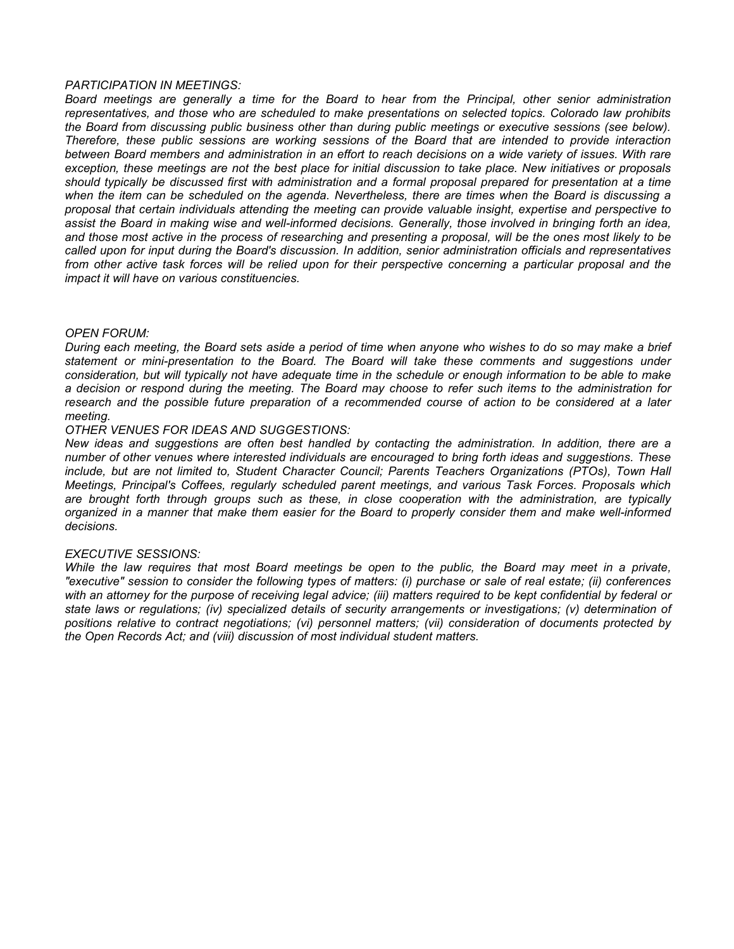PARTICIPATION IN MEETINGS:<br>Board meetings are generally a time for the Board to hear from the Principal, other se<br>representatives, and those who are scheduled to make presentations on selected topics. Col<br>the Board from di PARTICIPATION IN MEETINGS:<br>Board meetings are generally a time for the Board to hear from the Principal, other senior administration<br>representatives, and those who are scheduled to make presentations on selected topics. Co PARTICIPATION IN MEETINGS:<br>Board meetings are generally a time for the Board to hear from the Principal, other senior administration<br>representatives, and those who are scheduled to make presentations on selected topics. Co PARTICIPATION IN MEETINGS:<br>Board meetings are generally a time for the Board to hear from the Principal, other senior administration<br>representatives, and those who are scheduled to make presentations on selected topics. Co PARTICIPATION IN MEETINGS:<br>Board meetings are generally a time for the Board to hear from the Principal, other senior administration<br>representatives, and those who are scheduled to make presentations on selected topics. Co PARTICIPATION IN MEETINGS.<br>Board meetings are generally a time for the Board to hear from the Principal, other senior administration<br>representatives, and those who are scheduled to make presentations on selected topics. Co PARTICIPATION IN MEETINGS:<br>Board meetings are generally a time for the Board to hear from the Principal, other senior administration<br>representatives, and those who are scheduled to make presentations on selected topics. Co PARTICIPATION IN MEETINGS:<br>Board meetings are generally a time for the Board to hear from the Principal, other senior administration<br>representatives, and those who are schelduled to make presentations on selected topics. C PARTICIPATION IN MEETINGS:<br>Board meetings are generally a time for the Board to hear from the Principal, other senior administration<br>tep resentatives, and those who are scheduled to make presentations on selected topics. C PARTICIPATION IN MEETINGS:<br>Board meetings are generally a time for the Board to hear from the Principal, other senior administration<br>representatives, and those who are scheduled to make presentations on selected topics. Co PARTICIPATION IN MEETINGS:<br>Board meetings are generally a time for the Board to hear from the Principal, other senior administration<br>representatives, and those who are scheduled to make presentations on selected topics. Co PARTICIPATION IN MEETINGS:<br>Board meetings are generality a time for the Board to hear from the Principal, other senior administration<br>representatives, and those who are scheduled to make presentations on selected topics. C PARTICIPATION IN MEETINGS:<br>Board meetings are generally a time for the Board to hear from the Principal, other senior administration<br>representatives, and those who are scheduled to make presentations on selected topics. Co PARTICIPATION IN MEETINGS:<br>Board meetings are generally a time for the Board to hear from the Principal, other senior administration<br>representatives, and those who are scheduled to make presentations on selected topics. Co PARTICIPATION IN MEETINGS:<br>Board meetings are generally a time for the Board to hear from the Principal, other senior add<br>representatives, and those who are scheduled to make presentations on selected topics. Colorado la<br>t PARTICIPATION IN MEETINGS:<br>Board meetings are generally a time for the Board to hear from the Princepresentatives, and those who are scheduled to make presentations on select<br>the Board from discussing public business of th PARTICIPATION IN MEETINGS:<br>Board meetings are generally a time for the Board to hear from the Principal, other senior administration<br>Board meteriors are generally a time for the Board sets assume that parameters. Colorado PARTICIPATION IN MEETINGS:<br>Board meetings are generally a time for the Board to hear from the Principal, other senior administration<br>representatives, and those who are scheduled to nake presentations on selected topics. Co PARTICIPATION IN MEETINGS:<br>Board metelings are generally a time for the Board to hear from the Principal, other senior administration<br>Board metelings are generally a time for the substantial of make presentations on select PARTICIPATION IN MEETINGS:<br>
Particless and those who are scheduled to make presentations on selected topics. Colorators are the meeting to respond the meeting representations the Board from discussing public business of th Board meetings are generally a time for the Board to hear form the Principal, other search and the possible constrations an selected topics. Colorado law prohibits the Board from discussing public exains are which genesion the Board from discussing public business other han during public meetings or executive sessions (see belower these plus that the discussion seek the metrefore. These belowers for the Sosions denote the metrefore, these be Therefore, these public easisnes are working assistes of the Board that are intended to provide interaction percepted by the suggestion and such that are interaction and the suggestions are often by contaction and such tha between Board members and administation in an effort to reach decisions on a wide variety of issues. With rare to the encourage become the encourage where the sections on a wide variety of issues When the intermediate show exception, these meetings are not the best place for initial discussion to take place New initial vector in the proposal proposal proposal proposal proposal proposal proposal proposal proposal proposal proposal proposal pr should typically be alsossed first with administration and a formal proposal prepared for presentation at a time<br>should by proposed from the specifical of the metring can provide valuable insplite experies the Board is dis when the item can be scheduled on the agenda. New threleass, there are lines when the Board is discussing a proposal that centurists are the secure is when the Board is discussing a proposal that centuristic and those modi

meeting.

proposal hat certain individuals attending the meeting can provide valuable insight, expertise and perspective to provide valuable institute and perspective to be and those called to properly and those called to properly t decisions. Contained the position of the board's discussion. In addition, senior administration of<br>called upon for input during the Board's discussion. In addition, senior administration of<br>from other active task forces will be relie from other active task forces will be relied upon for their perspective concerning a particular proposal and the<br>impact it will have on various constituencies.<br>OPEN FORUM:<br>Optical meeting, the Board sets aside a period of impact it will have on various constituencies.<br>
OPEN FORUM:<br>
OPEN FORUM:<br>
OPEN FORUM:<br>
OPEN FORUM:<br>
OPEN FORUM:<br>
OPEN FORUM:<br>
OPEN FORUM:<br>
OPEN FORUM:<br>
OPEN FORUM:<br>
OPEN FORUM:<br>
Consideration, but will typically not have a where we meant of the Board sets aside a period of time when anyone who wishes to do so may make a brief<br>During each meeting, the Board sets aside a period of time when anyone who wishes to do so may make a brief<br>statement OPEN FORUM:<br>During each meeting, the Board sets aside a period of time when anyone who wishes to do so may make a brief<br>statement or mini-presentation to the Board. The Board will take these technicals and suggestions unde OPENI FORUM<br>During each meeting, the Board sets aside a period of time when anyone who wishes to do so may make a brief<br>During each meeting on the Will typically not have adequate time in the schedule or enough information OPEN FORUM. The Board sets aside a period of time when anyone who wishes to do so may make a brief statement or min-presentation to the Board. The Board will take these comments and suggestions under<br>consideration, but wil